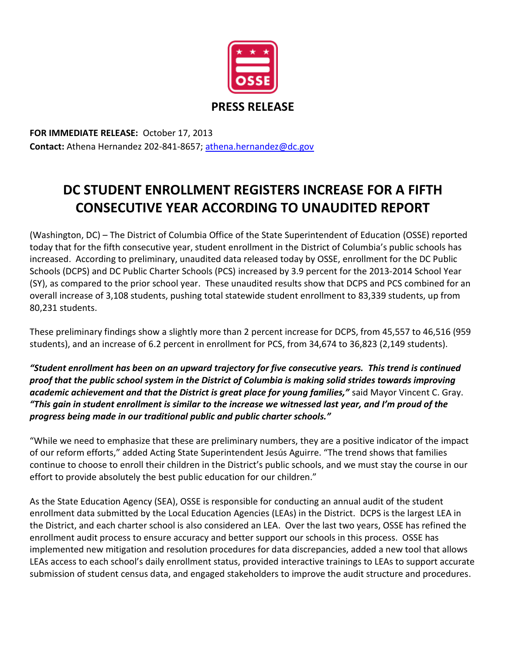

**FOR IMMEDIATE RELEASE:** October 17, 2013 **Contact:** Athena Hernandez 202-841-8657; [athena.hernandez@dc.gov](mailto:athena.hernandez@dc.gov)

## **DC STUDENT ENROLLMENT REGISTERS INCREASE FOR A FIFTH CONSECUTIVE YEAR ACCORDING TO UNAUDITED REPORT**

(Washington, DC) – The District of Columbia Office of the State Superintendent of Education (OSSE) reported today that for the fifth consecutive year, student enrollment in the District of Columbia's public schools has increased. According to preliminary, unaudited data released today by OSSE, enrollment for the DC Public Schools (DCPS) and DC Public Charter Schools (PCS) increased by 3.9 percent for the 2013-2014 School Year (SY), as compared to the prior school year. These unaudited results show that DCPS and PCS combined for an overall increase of 3,108 students, pushing total statewide student enrollment to 83,339 students, up from 80,231 students.

These preliminary findings show a slightly more than 2 percent increase for DCPS, from 45,557 to 46,516 (959 students), and an increase of 6.2 percent in enrollment for PCS, from 34,674 to 36,823 (2,149 students).

*"Student enrollment has been on an upward trajectory for five consecutive years. This trend is continued proof that the public school system in the District of Columbia is making solid strides towards improving academic achievement and that the District is great place for young families,"* said Mayor Vincent C. Gray. *"This gain in student enrollment is similar to the increase we witnessed last year, and I'm proud of the progress being made in our traditional public and public charter schools."*

"While we need to emphasize that these are preliminary numbers, they are a positive indicator of the impact of our reform efforts," added Acting State Superintendent Jesús Aguirre. "The trend shows that families continue to choose to enroll their children in the District's public schools, and we must stay the course in our effort to provide absolutely the best public education for our children."

As the State Education Agency (SEA), OSSE is responsible for conducting an annual audit of the student enrollment data submitted by the Local Education Agencies (LEAs) in the District. DCPS is the largest LEA in the District, and each charter school is also considered an LEA. Over the last two years, OSSE has refined the enrollment audit process to ensure accuracy and better support our schools in this process. OSSE has implemented new mitigation and resolution procedures for data discrepancies, added a new tool that allows LEAs access to each school's daily enrollment status, provided interactive trainings to LEAs to support accurate submission of student census data, and engaged stakeholders to improve the audit structure and procedures.